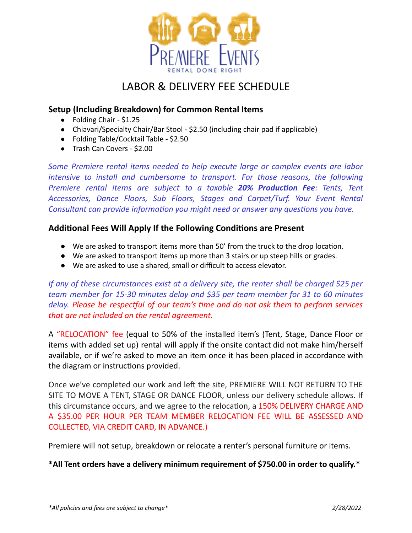

# LABOR & DELIVERY FEE SCHEDULE

#### **Setup (Including Breakdown) for Common Rental Items**

- Folding Chair \$1.25
- Chiavari/Specialty Chair/Bar Stool \$2.50 (including chair pad if applicable)
- Folding Table/Cocktail Table \$2.50
- Trash Can Covers \$2.00

*Some Premiere rental items needed to help execute large or complex events are labor intensive to install and cumbersome to transport. For those reasons, the following Premiere rental items are subject to a taxable 20% Producon Fee: Tents, Tent Accessories, Dance Floors, Sub Floors, Stages and Carpet/Turf. Your Event Rental Consultant can provide information you might need or answer any questions you have.* 

#### **Addional Fees Will Apply If the Following Condions are Present**

- We are asked to transport items more than 50' from the truck to the drop location.
- We are asked to transport items up more than 3 stairs or up steep hills or grades.
- We are asked to use a shared, small or difficult to access elevator.

*If any of these circumstances exist at a delivery site, the renter shall be charged \$25 per team member for 15-30 minutes delay and \$35 per team member for 31 to 60 minutes delay. Please be respecul of our team's me and do not ask them to perform services that are not included on the rental agreement.*

A "RELOCATION" fee (equal to 50% of the installed item's (Tent, Stage, Dance Floor or items with added set up) rental will apply if the onsite contact did not make him/herself available, or if we're asked to move an item once it has been placed in accordance with the diagram or instructions provided.

Once we've completed our work and left the site, PREMIERE WILL NOT RETURN TO THE SITE TO MOVE A TENT, STAGE OR DANCE FLOOR, unless our delivery schedule allows. If this circumstance occurs, and we agree to the relocation, a 150% DELIVERY CHARGE AND A \$35.00 PER HOUR PER TEAM MEMBER RELOCATION FEE WILL BE ASSESSED AND COLLECTED, VIA CREDIT CARD, IN ADVANCE.)

Premiere will not setup, breakdown or relocate a renter's personal furniture or items.

**\*All Tent orders have a delivery minimum requirement of \$750.00 in order to qualify.\***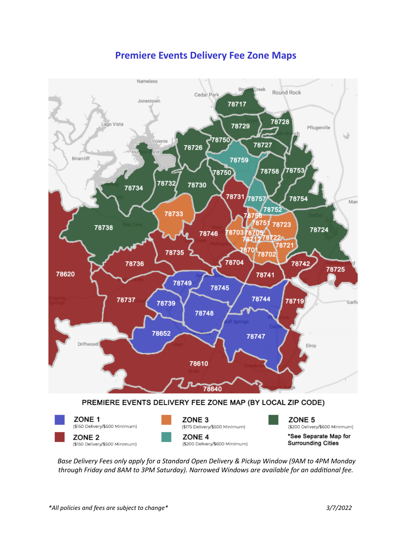# **Premiere Events Delivery Fee Zone Maps**



*Base Delivery Fees only apply for a Standard Open Delivery & Pickup Window (9AM to 4PM Monday through Friday and 8AM to 3PM Saturday). Narrowed Windows are available for an addional fee.*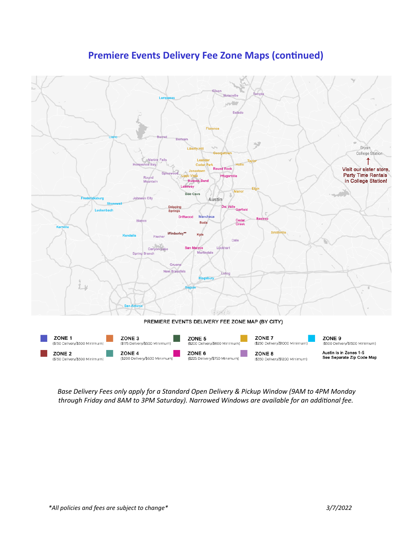# **Premiere Events Delivery Fee Zone Maps (continued)**



*Base Delivery Fees only apply for a Standard Open Delivery & Pickup Window (9AM to 4PM Monday through Friday and 8AM to 3PM Saturday). Narrowed Windows are available for an addional fee.*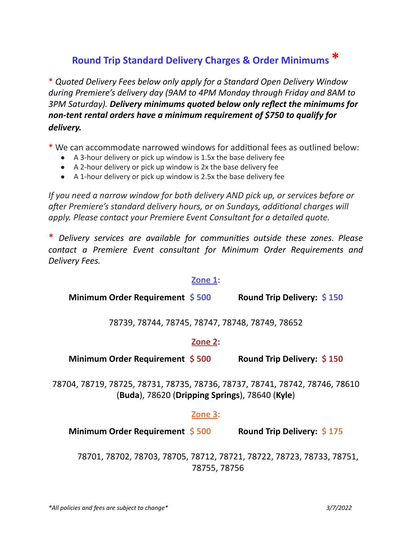# **Round Trip Standard Delivery Charges & Order Minimums \***

\* *Quoted Delivery Fees below only apply for a Standard Open Delivery Window during Premiere's delivery day (9AM to 4PM Monday through Friday and 8AM to 3PM Saturday). Delivery minimums quoted below only reflect the minimums for non-tent rental orders have a minimum requirement of \$750 to qualify for delivery.*

\* We can accommodate narrowed windows for additional fees as outlined below:

- A 3-hour delivery or pick up window is 1.5x the base delivery fee
- A 2-hour delivery or pick up window is 2x the base delivery fee
- A 1-hour delivery or pick up window is 2.5x the base delivery fee

*If you need a narrow window for both delivery AND pick up, or services before or aer Premiere's standard delivery hours, or on Sundays, addional charges will apply. Please contact your Premiere Event Consultant for a detailed quote.*

\* *Delivery services are available for communies outside these zones. Please contact a Premiere Event consultant for Minimum Order Requirements and Delivery Fees.*

#### **Zone 1:**

**Minimum Order Requirement \$ 500 Round Trip Delivery: \$ 150**

78739, 78744, 78745, 78747, 78748, 78749, 78652

#### **Zone 2:**

**Minimum Order Requirement \$ 500 Round Trip Delivery: \$ 150**

78704, 78719, 78725, 78731, 78735, 78736, 78737, 78741, 78742, 78746, 78610 (**Buda**), 78620 (**Dripping Springs**), 78640 (**Kyle**)

#### **Zone 3:**

**Minimum Order Requirement \$ 500 Round Trip Delivery: \$ 175**

78701, 78702, 78703, 78705, 78712, 78721, 78722, 78723, 78733, 78751, 78755, 78756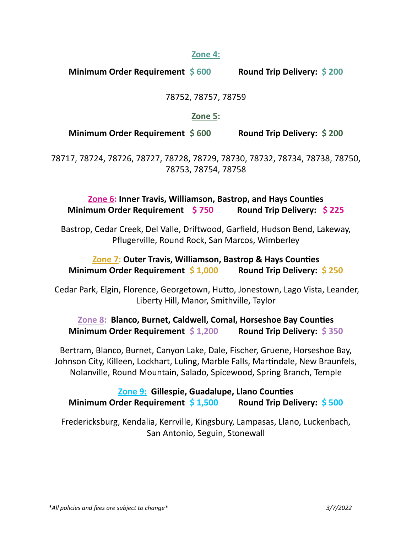#### **Zone 4:**

**Minimum Order Requirement \$ 600 Round Trip Delivery: \$ 200**

#### 78752, 78757, 78759

#### **Zone 5:**

**Minimum Order Requirement \$ 600 Round Trip Delivery: \$ 200**

78717, 78724, 78726, 78727, 78728, 78729, 78730, 78732, 78734, 78738, 78750, 78753, 78754, 78758

## **Zone 6: Inner Travis, Williamson, Bastrop, and Hays Counties Minimum Order Requirement \$ 750 Round Trip Delivery: \$ 225**

Bastrop, Cedar Creek, Del Valle, Driftwood, Garfield, Hudson Bend, Lakeway, Pflugerville, Round Rock, San Marcos, Wimberley

## **Zone 7: Outer Travis, Williamson, Bastrop & Hays Counties Minimum Order Requirement \$ 1,000 Round Trip Delivery: \$ 250**

Cedar Park, Elgin, Florence, Georgetown, Hutto, Jonestown, Lago Vista, Leander, Liberty Hill, Manor, Smithville, Taylor

## **Zone 8: Blanco, Burnet, Caldwell, Comal, Horseshoe Bay Counes Minimum Order Requirement \$ 1,200 Round Trip Delivery: \$ 350**

Bertram, Blanco, Burnet, Canyon Lake, Dale, Fischer, Gruene, Horseshoe Bay, Johnson City, Killeen, Lockhart, Luling, Marble Falls, Martindale, New Braunfels, Nolanville, Round Mountain, Salado, Spicewood, Spring Branch, Temple

## **Zone 9: Gillespie, Guadalupe, Llano Counties Minimum Order Requirement \$ 1,500 Round Trip Delivery: \$ 500**

Fredericksburg, Kendalia, Kerrville, Kingsbury, Lampasas, Llano, Luckenbach, San Antonio, Seguin, Stonewall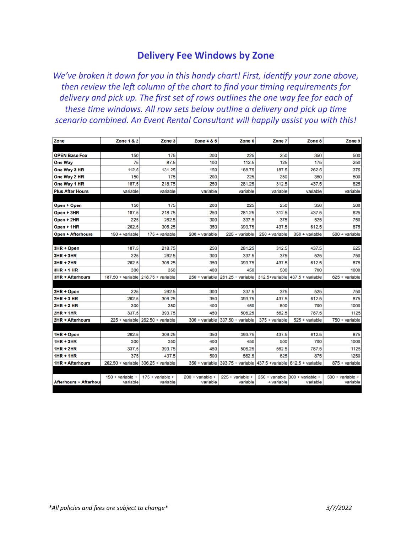## **Delivery Fee Windows by Zone**

*We've broken it down for you in this handy chart! First, idenfy your zone above, then review the le column of the chart to find your ming requirements for delivery and pick up. The first set of rows outlines the one way fee for each of these me windows. All row sets below outline a delivery and pick up me scenario combined. An Event Rental Consultant will happily assist you with this!*

| Zone                          | <b>Zone 1 &amp; 2</b>          | Zone <sub>3</sub>                    | Zone 4 & 5                            | Zone 6                                                             | Zone 7         | Zone 8                                      | Zone 9                                |
|-------------------------------|--------------------------------|--------------------------------------|---------------------------------------|--------------------------------------------------------------------|----------------|---------------------------------------------|---------------------------------------|
|                               |                                |                                      |                                       |                                                                    |                |                                             |                                       |
| <b>OPEN Base Fee</b>          | 150                            | 175                                  | 200                                   | 225                                                                | 250            | 350                                         | 500                                   |
| <b>One Way</b>                | 75                             | 87.5                                 | 100                                   | 112.5                                                              | 125            | 175                                         | 250                                   |
| One Way 3 HR                  | 112.5                          | 131.25                               | 150                                   | 168.75                                                             | 187.5          | 262.5                                       | 375                                   |
| One Way 2 HR                  | 150                            | 175                                  | 200                                   | 225                                                                | 250            | 350                                         | 500                                   |
| One Way 1 HR                  | 187.5                          | 218.75                               | 250                                   | 281.25                                                             | 312.5          | 437.5                                       | 625                                   |
| <b>Plus After Hours</b>       | variable                       | variable                             | variable                              | variable                                                           | variable       | variable                                    | variable                              |
|                               |                                |                                      |                                       |                                                                    |                |                                             |                                       |
| Open + Open                   | 150                            | 175                                  | 200                                   | 225                                                                | 250            | 350                                         | 500                                   |
| Open + 3HR                    | 187.5                          | 218.75                               | 250                                   | 281.25                                                             | 312.5          | 437.5                                       | 625                                   |
| Open + 2HR                    | 225                            | 262.5                                | 300                                   | 337.5                                                              | 375            | 525                                         | 750                                   |
| Open + 1HR                    | 262.5                          | 306.25                               | 350                                   | 393.75                                                             | 437.5          | 612.5                                       | 875                                   |
| <b>Open + Afterhours</b>      | $150 + variable$               | $175 + variable$                     | 200 + variable                        | 225 + variable                                                     | 250 + variable | 350 + variable                              | 500 + variable                        |
|                               |                                |                                      |                                       |                                                                    |                |                                             |                                       |
| 3HR + Open                    | 187.5                          | 218.75                               | 250                                   | 281.25                                                             | 312.5          | 437.5                                       | 625                                   |
| $3HR + 3HR$                   | 225                            | 262.5                                | 300                                   | 337.5                                                              | 375            | 525                                         | 750                                   |
| $3HR + 2HR$                   | 262.5                          | 306.25                               | 350                                   | 393.75                                                             | 437.5          | 612.5                                       | 875                                   |
| $3HR + 1HR$                   | 300                            | 350                                  | 400                                   | 450                                                                | 500            | 700                                         | 1000                                  |
| <b>3HR + Afterhours</b>       |                                | 187.50 + variable 218.75 + variable  | 250 + variable                        | $281.25 + variable$                                                |                | 312.5+variable 437.5 + variable             | 625 + variable                        |
|                               |                                |                                      |                                       |                                                                    |                |                                             |                                       |
| 2HR + Open                    | 225                            | 262.5                                | 300                                   | 337.5                                                              | 375            | 525                                         | 750                                   |
| $2HR + 3HR$                   | 262.5                          | 306.25                               | 350                                   | 393.75                                                             | 437.5          | 612.5                                       | 875                                   |
| $2HR + 2HR$                   | 300                            | 350                                  | 400                                   | 450                                                                | 500            | 700                                         | 1000                                  |
| $2HR + 1HR$                   | 337.5                          | 393.75                               | 450                                   | 506.25                                                             | 562.5          | 787.5                                       | 1125                                  |
| <b>2HR + Afterhours</b>       |                                | $225 +$ variable $262.50 +$ variable |                                       | 300 + variable 337.50 + variable                                   | 375 + variable | 525 + variable                              | 750 + variable                        |
|                               |                                |                                      |                                       |                                                                    |                |                                             |                                       |
| 1HR + Open                    | 262.5                          | 306.25                               | 350                                   | 393.75                                                             | 437.5          | 612.5                                       | 875                                   |
| $1HR + 3HR$                   | 300                            | 350                                  | 400                                   | 450                                                                | 500            | 700                                         | 1000                                  |
| 1HR + 2HR                     | 337.5                          | 393.75                               | 450                                   | 506.25                                                             | 562.5          | 787.5                                       | 1125                                  |
| <b>1HR + 1HR</b>              | 375                            | 437.5                                | 500                                   | 562.5                                                              | 625            | 875                                         | 1250                                  |
| <b>1HR + Afterhours</b>       |                                | 262.50 + variable 306.25 + variable  |                                       | 350 + variable 393.75 + variable 437.5 + variable 612.5 + variable |                |                                             | 875 + variable                        |
|                               |                                |                                      |                                       |                                                                    |                |                                             |                                       |
| <b>Afterhours + Afterhout</b> | $150 + variable +$<br>variable | $175 + variable +$<br>variable       | $200 + \text{variable} +$<br>variable | $225 +$ variable +<br>variable                                     | + variable     | 250 + variable 300 + variable +<br>variable | $500 + \text{variable} +$<br>variable |